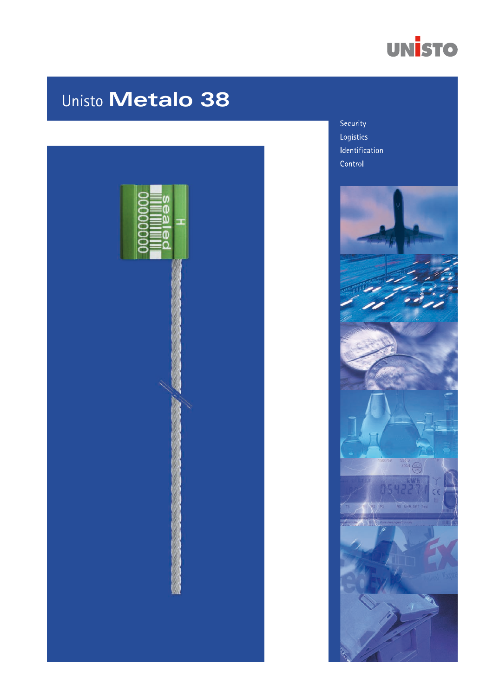

# Unisto Metalo 38



Security Logistics Identification Control